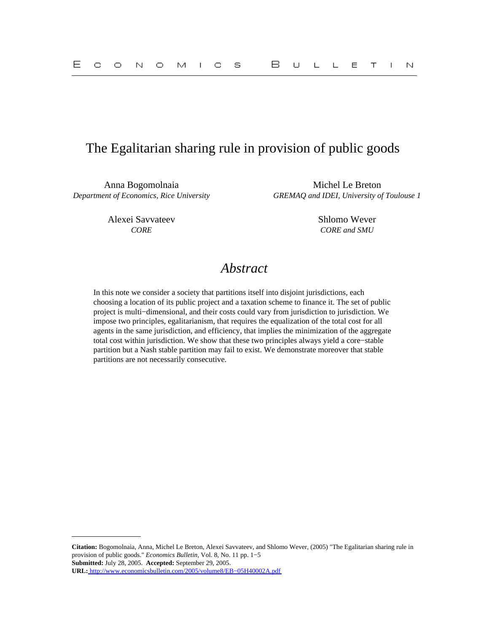## The Egalitarian sharing rule in provision of public goods

Anna Bogomolnaia Michel Le Breton

Alexei Savvateev Shlomo Wever

*Department of Economics, Rice University GREMAQ and IDEI, University of Toulouse 1*

*CORE CORE and SMU*

# *Abstract*

In this note we consider a society that partitions itself into disjoint jurisdictions, each choosing a location of its public project and a taxation scheme to finance it. The set of public project is multi−dimensional, and their costs could vary from jurisdiction to jurisdiction. We impose two principles, egalitarianism, that requires the equalization of the total cost for all agents in the same jurisdiction, and efficiency, that implies the minimization of the aggregate total cost within jurisdiction. We show that these two principles always yield a core−stable partition but a Nash stable partition may fail to exist. We demonstrate moreover that stable partitions are not necessarily consecutive.

**Citation:** Bogomolnaia, Anna, Michel Le Breton, Alexei Savvateev, and Shlomo Wever, (2005) "The Egalitarian sharing rule in provision of public goods." *Economics Bulletin,* Vol. 8, No. 11 pp. 1−5 **Submitted:** July 28, 2005. **Accepted:** September 29, 2005. **URL:** [http://www.economicsbulletin.com/2005/volume8/EB−05H40002A.pdf](http://www.economicsbulletin.com/2005/volume8/EB-05H40002A.pdf)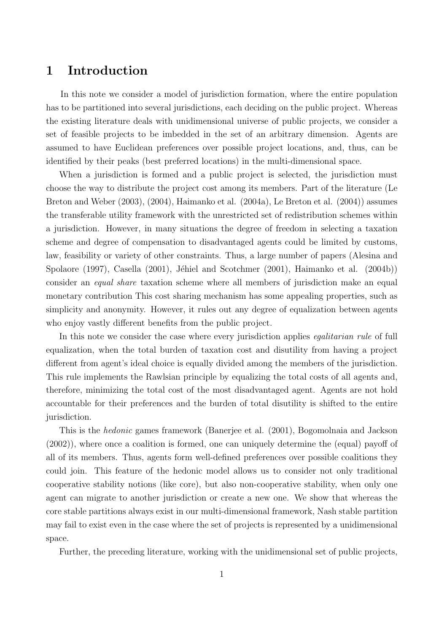## 1 Introduction

In this note we consider a model of jurisdiction formation, where the entire population has to be partitioned into several jurisdictions, each deciding on the public project. Whereas the existing literature deals with unidimensional universe of public projects, we consider a set of feasible projects to be imbedded in the set of an arbitrary dimension. Agents are assumed to have Euclidean preferences over possible project locations, and, thus, can be identified by their peaks (best preferred locations) in the multi-dimensional space.

When a jurisdiction is formed and a public project is selected, the jurisdiction must choose the way to distribute the project cost among its members. Part of the literature (Le Breton and Weber (2003), (2004), Haimanko et al. (2004a), Le Breton et al. (2004)) assumes the transferable utility framework with the unrestricted set of redistribution schemes within a jurisdiction. However, in many situations the degree of freedom in selecting a taxation scheme and degree of compensation to disadvantaged agents could be limited by customs, law, feasibility or variety of other constraints. Thus, a large number of papers (Alesina and Spolaore (1997), Casella (2001), Jéhiel and Scotchmer (2001), Haimanko et al. (2004b)) consider an equal share taxation scheme where all members of jurisdiction make an equal monetary contribution This cost sharing mechanism has some appealing properties, such as simplicity and anonymity. However, it rules out any degree of equalization between agents who enjoy vastly different benefits from the public project.

In this note we consider the case where every jurisdiction applies *egalitarian rule* of full equalization, when the total burden of taxation cost and disutility from having a project different from agent's ideal choice is equally divided among the members of the jurisdiction. This rule implements the Rawlsian principle by equalizing the total costs of all agents and, therefore, minimizing the total cost of the most disadvantaged agent. Agents are not hold accountable for their preferences and the burden of total disutility is shifted to the entire jurisdiction.

This is the hedonic games framework (Banerjee et al. (2001), Bogomolnaia and Jackson (2002)), where once a coalition is formed, one can uniquely determine the (equal) payoff of all of its members. Thus, agents form well-defined preferences over possible coalitions they could join. This feature of the hedonic model allows us to consider not only traditional cooperative stability notions (like core), but also non-cooperative stability, when only one agent can migrate to another jurisdiction or create a new one. We show that whereas the core stable partitions always exist in our multi-dimensional framework, Nash stable partition may fail to exist even in the case where the set of projects is represented by a unidimensional space.

Further, the preceding literature, working with the unidimensional set of public projects,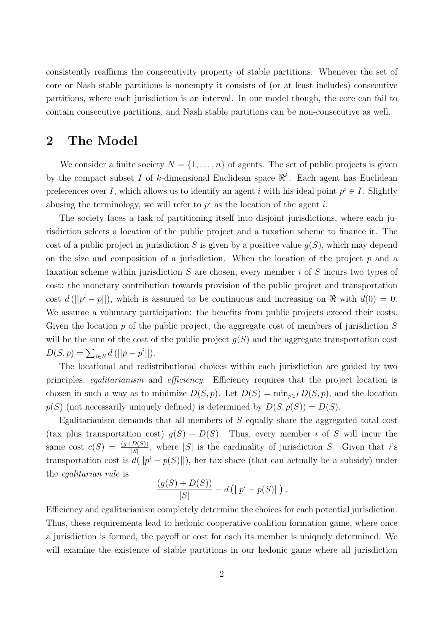consistently reaffirms the consecutivity property of stable partitions. Whenever the set of core or Nash stable partitions is nonempty it consists of (or at least includes) consecutive partitions, where each jurisdiction is an interval. In our model though, the core can fail to contain consecutive partitions, and Nash stable partitions can be non-consecutive as well.

## 2 The Model

We consider a finite society  $N = \{1, \ldots, n\}$  of agents. The set of public projects is given by the compact subset I of k-dimensional Euclidean space  $\mathbb{R}^k$ . Each agent has Euclidean preferences over I, which allows us to identify an agent i with his ideal point  $p^i \in I$ . Slightly abusing the terminology, we will refer to  $p^i$  as the location of the agent i.

The society faces a task of partitioning itself into disjoint jurisdictions, where each jurisdiction selects a location of the public project and a taxation scheme to finance it. The cost of a public project in jurisdiction S is given by a positive value  $q(S)$ , which may depend on the size and composition of a jurisdiction. When the location of the project  $p$  and a taxation scheme within jurisdiction S are chosen, every member i of S incurs two types of cost: the monetary contribution towards provision of the public project and transportation cost  $d(||p^i - p||)$ , which is assumed to be continuous and increasing on  $\Re$  with  $d(0) = 0$ . We assume a voluntary participation: the benefits from public projects exceed their costs. Given the location p of the public project, the aggregate cost of members of jurisdiction  $S$ will be the sum of the cost of the public project  $g(S)$  and the aggregate transportation cost  $D(S, p) = \sum_{i \in S} d(||p - p^i||).$ 

The locational and redistributional choices within each jurisdiction are guided by two principles, egalitarianism and efficiency. Efficiency requires that the project location is chosen in such a way as to minimize  $D(S, p)$ . Let  $D(S) = \min_{p \in I} D(S, p)$ , and the location  $p(S)$  (not necessarily uniquely defined) is determined by  $D(S, p(S)) = D(S)$ .

Egalitarianism demands that all members of S equally share the aggregated total cost (tax plus transportation cost)  $g(S) + D(S)$ . Thus, every member i of S will incur the same cost  $c(S) = \frac{(g+D(S))}{|S|}$ , where |S| is the cardinality of jurisdiction S. Given that i's transportation cost is  $d(||p^i - p(S)||)$ , her tax share (that can actually be a subsidy) under the egalitarian rule is

$$
\frac{(g(S) + D(S))}{|S|} - d (||p^{i} - p(S)||).
$$

Efficiency and egalitarianism completely determine the choices for each potential jurisdiction. Thus, these requirements lead to hedonic cooperative coalition formation game, where once a jurisdiction is formed, the payoff or cost for each its member is uniquely determined. We will examine the existence of stable partitions in our hedonic game where all jurisdiction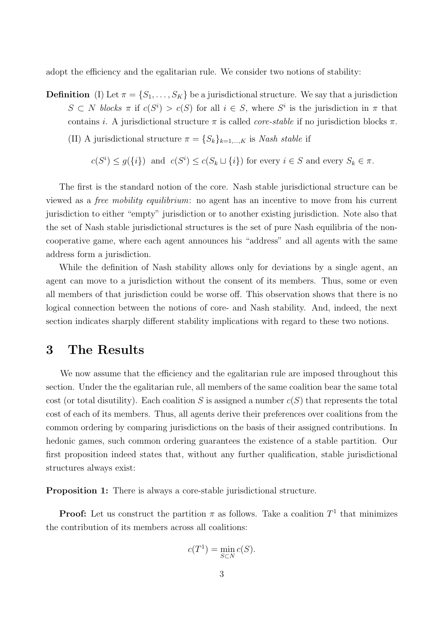adopt the efficiency and the egalitarian rule. We consider two notions of stability:

**Definition** (I) Let  $\pi = \{S_1, \ldots, S_K\}$  be a jurisdictional structure. We say that a jurisdiction  $S \subset N$  blocks  $\pi$  if  $c(S^i) > c(S)$  for all  $i \in S$ , where  $S^i$  is the jurisdiction in  $\pi$  that contains i. A jurisdictional structure  $\pi$  is called *core-stable* if no jurisdiction blocks  $\pi$ .

(II) A jurisdictional structure  $\pi = \{S_k\}_{k=1,\dots,K}$  is Nash stable if

$$
c(S^i) \leq g(\{i\})
$$
 and  $c(S^i) \leq c(S_k \sqcup \{i\})$  for every  $i \in S$  and every  $S_k \in \pi$ .

The first is the standard notion of the core. Nash stable jurisdictional structure can be viewed as a free mobility equilibrium: no agent has an incentive to move from his current jurisdiction to either "empty" jurisdiction or to another existing jurisdiction. Note also that the set of Nash stable jurisdictional structures is the set of pure Nash equilibria of the noncooperative game, where each agent announces his "address" and all agents with the same address form a jurisdiction.

While the definition of Nash stability allows only for deviations by a single agent, an agent can move to a jurisdiction without the consent of its members. Thus, some or even all members of that jurisdiction could be worse off. This observation shows that there is no logical connection between the notions of core- and Nash stability. And, indeed, the next section indicates sharply different stability implications with regard to these two notions.

## 3 The Results

We now assume that the efficiency and the egalitarian rule are imposed throughout this section. Under the the egalitarian rule, all members of the same coalition bear the same total cost (or total disutility). Each coalition S is assigned a number  $c(S)$  that represents the total cost of each of its members. Thus, all agents derive their preferences over coalitions from the common ordering by comparing jurisdictions on the basis of their assigned contributions. In hedonic games, such common ordering guarantees the existence of a stable partition. Our first proposition indeed states that, without any further qualification, stable jurisdictional structures always exist:

Proposition 1: There is always a core-stable jurisdictional structure.

**Proof:** Let us construct the partition  $\pi$  as follows. Take a coalition  $T^1$  that minimizes the contribution of its members across all coalitions:

$$
c(T^1) = \min_{S \subset N} c(S).
$$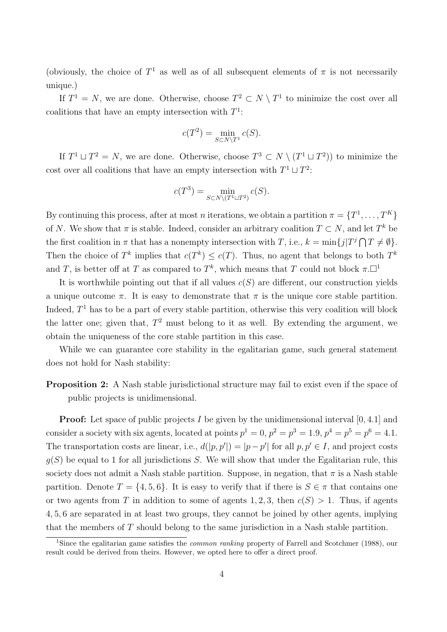(obviously, the choice of  $T^1$  as well as of all subsequent elements of  $\pi$  is not necessarily unique.)

If  $T^1 = N$ , we are done. Otherwise, choose  $T^2 \subset N \setminus T^1$  to minimize the cost over all coalitions that have an empty intersection with  $T^1$ :

$$
c(T^2) = \min_{S \subset N \setminus T^1} c(S).
$$

If  $T^1 \sqcup T^2 = N$ , we are done. Otherwise, choose  $T^3 \subset N \setminus (T^1 \sqcup T^2)$  to minimize the cost over all coalitions that have an empty intersection with  $T^1 \sqcup T^2$ :

$$
c(T^3) = \min_{S \subset N \setminus (T^1 \sqcup T^2)} c(S).
$$

By continuing this process, after at most *n* iterations, we obtain a partition  $\pi = \{T^1, \ldots, T^K\}$ of N. We show that  $\pi$  is stable. Indeed, consider an arbitrary coalition  $T \subset N$ , and let  $T^k$  be the first coalition in  $\pi$  that has a nonempty intersection with T, i.e.,  $k = \min\{j|T^j \cap T \neq \emptyset\}$ . Then the choice of  $T^k$  implies that  $c(T^k) \leq c(T)$ . Thus, no agent that belongs to both  $T^k$ and T, is better off at T as compared to  $T^k$ , which means that T could not block  $\pi.\Box^1$ 

It is worthwhile pointing out that if all values  $c(S)$  are different, our construction yields a unique outcome  $\pi$ . It is easy to demonstrate that  $\pi$  is the unique core stable partition. Indeed,  $T<sup>1</sup>$  has to be a part of every stable partition, otherwise this very coalition will block the latter one; given that,  $T^2$  must belong to it as well. By extending the argument, we obtain the uniqueness of the core stable partition in this case.

While we can guarantee core stability in the egalitarian game, such general statement does not hold for Nash stability:

#### Proposition 2: A Nash stable jurisdictional structure may fail to exist even if the space of public projects is unidimensional.

**Proof:** Let space of public projects I be given by the unidimensional interval  $[0, 4.1]$  and consider a society with six agents, located at points  $p^1 = 0$ ,  $p^2 = p^3 = 1.9$ ,  $p^4 = p^5 = p^6 = 4.1$ . The transportation costs are linear, i.e.,  $d(|p, p'|) = |p - p'|$  for all  $p, p' \in I$ , and project costs  $q(S)$  be equal to 1 for all jurisdictions S. We will show that under the Egalitarian rule, this society does not admit a Nash stable partition. Suppose, in negation, that  $\pi$  is a Nash stable partition. Denote  $T = \{4, 5, 6\}$ . It is easy to verify that if there is  $S \in \pi$  that contains one or two agents from T in addition to some of agents 1, 2, 3, then  $c(S) > 1$ . Thus, if agents 4, 5, 6 are separated in at least two groups, they cannot be joined by other agents, implying that the members of T should belong to the same jurisdiction in a Nash stable partition.

<sup>&</sup>lt;sup>1</sup>Since the egalitarian game satisfies the *common ranking* property of Farrell and Scotchmer (1988), our result could be derived from theirs. However, we opted here to offer a direct proof.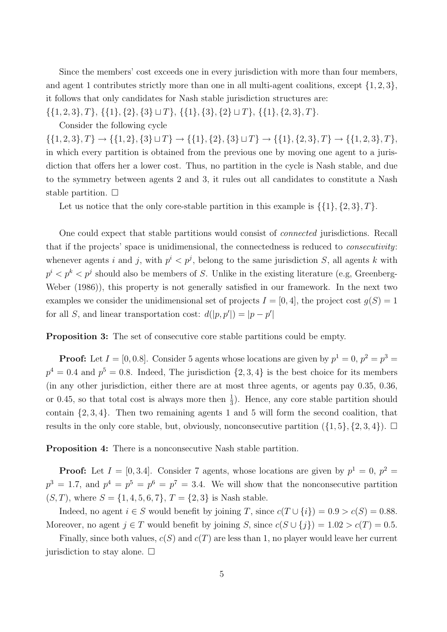Since the members' cost exceeds one in every jurisdiction with more than four members, and agent 1 contributes strictly more than one in all multi-agent coalitions, except  $\{1, 2, 3\}$ , it follows that only candidates for Nash stable jurisdiction structures are:

 $\{\{1, 2, 3\}, T\}, \{\{1\}, \{2\}, \{3\} \sqcup T\}, \{\{1\}, \{3\}, \{2\} \sqcup T\}, \{\{1\}, \{2, 3\}, T\}.$ 

Consider the following cycle

 $\{\{1, 2, 3\}, T\} \rightarrow \{\{1, 2\}, \{3\} \sqcup T\} \rightarrow \{\{1\}, \{2\}, \{3\} \sqcup T\} \rightarrow \{\{1\}, \{2, 3\}, T\} \rightarrow \{\{1, 2, 3\}, T\}$ in which every partition is obtained from the previous one by moving one agent to a jurisdiction that offers her a lower cost. Thus, no partition in the cycle is Nash stable, and due to the symmetry between agents 2 and 3, it rules out all candidates to constitute a Nash stable partition.  $\Box$ 

Let us notice that the only core-stable partition in this example is  $\{\{1\}, \{2, 3\}, T\}.$ 

One could expect that stable partitions would consist of connected jurisdictions. Recall that if the projects' space is unidimensional, the connectedness is reduced to *consecutivity*: whenever agents i and j, with  $p^{i} < p^{j}$ , belong to the same jurisdiction S, all agents k with  $p^i < p^k < p^j$  should also be members of S. Unlike in the existing literature (e.g, Greenberg-Weber (1986)), this property is not generally satisfied in our framework. In the next two examples we consider the unidimensional set of projects  $I = [0, 4]$ , the project cost  $q(S) = 1$ for all S, and linear transportation cost:  $d(|p, p'|) = |p - p'|$ 

**Proposition 3:** The set of consecutive core stable partitions could be empty.

**Proof:** Let  $I = [0, 0.8]$ . Consider 5 agents whose locations are given by  $p^1 = 0$ ,  $p^2 = p^3 = 0$  $p^4 = 0.4$  and  $p^5 = 0.8$ . Indeed, The jurisdiction  $\{2, 3, 4\}$  is the best choice for its members (in any other jurisdiction, either there are at most three agents, or agents pay 0.35, 0.36, or 0.45, so that total cost is always more then  $\frac{1}{3}$ . Hence, any core stable partition should contain  $\{2, 3, 4\}$ . Then two remaining agents 1 and 5 will form the second coalition, that results in the only core stable, but, obviously, nonconsecutive partition  $(\{1, 5\}, \{2, 3, 4\})$ .

Proposition 4: There is a nonconsecutive Nash stable partition.

**Proof:** Let  $I = [0, 3.4]$ . Consider 7 agents, whose locations are given by  $p^1 = 0$ ,  $p^2 =$  $p^3 = 1.7$ , and  $p^4 = p^5 = p^6 = p^7 = 3.4$ . We will show that the nonconsecutive partition  $(S, T)$ , where  $S = \{1, 4, 5, 6, 7\}$ ,  $T = \{2, 3\}$  is Nash stable.

Indeed, no agent  $i \in S$  would benefit by joining T, since  $c(T \cup \{i\}) = 0.9 > c(S) = 0.88$ . Moreover, no agent  $j \in T$  would benefit by joining S, since  $c(S \cup \{j\}) = 1.02 > c(T) = 0.5$ .

Finally, since both values,  $c(S)$  and  $c(T)$  are less than 1, no player would leave her current jurisdiction to stay alone.  $\Box$